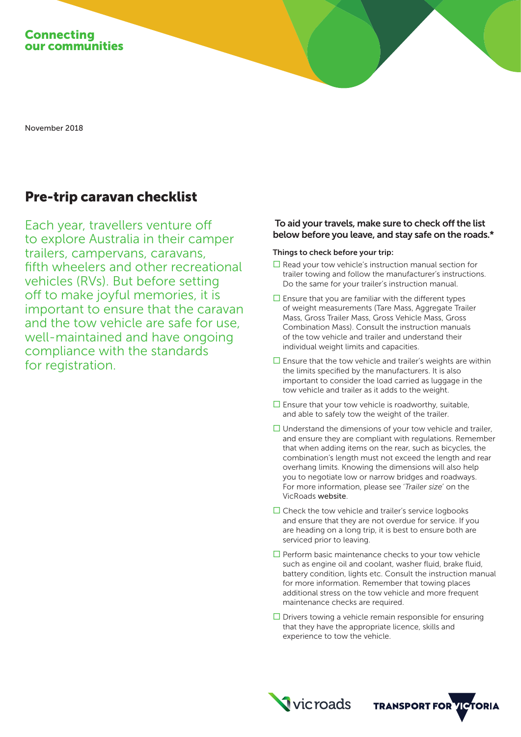

November 2018

# Pre-trip caravan checklist

Each year, travellers venture off to explore Australia in their camper trailers, campervans, caravans, fifth wheelers and other recreational vehicles (RVs). But before setting off to make joyful memories, it is important to ensure that the caravan and the tow vehicle are safe for use, well-maintained and have ongoing compliance with the standards for registration.

## To aid your travels, make sure to check off the list below before you leave, and stay safe on the roads.\*

#### Things to check before your trip:

- $\square$  Read your tow vehicle's instruction manual section for trailer towing and follow the manufacturer's instructions. Do the same for your trailer's instruction manual.
- $\square$  Ensure that you are familiar with the different types of weight measurements (Tare Mass, Aggregate Trailer Mass, Gross Trailer Mass, Gross Vehicle Mass, Gross Combination Mass). Consult the instruction manuals of the tow vehicle and trailer and understand their individual weight limits and capacities.
- $\square$  Ensure that the tow vehicle and trailer's weights are within the limits specified by the manufacturers. It is also important to consider the load carried as luggage in the tow vehicle and trailer as it adds to the weight.
- $\square$  Ensure that your tow vehicle is roadworthy, suitable, and able to safely tow the weight of the trailer.
- $\Box$  Understand the dimensions of your tow vehicle and trailer, and ensure they are compliant with regulations. Remember that when adding items on the rear, such as bicycles, the combination's length must not exceed the length and rear overhang limits. Knowing the dimensions will also help you to negotiate low or narrow bridges and roadways. For more information, please see '*Trailer size*' on the VicRoads website.
- $\square$  Check the tow vehicle and trailer's service logbooks and ensure that they are not overdue for service. If you are heading on a long trip, it is best to ensure both are serviced prior to leaving.
- $\square$  Perform basic maintenance checks to your tow vehicle such as engine oil and coolant, washer fluid, brake fluid, battery condition, lights etc. Consult the instruction manual for more information. Remember that towing places additional stress on the tow vehicle and more frequent maintenance checks are required.
- $\square$  Drivers towing a vehicle remain responsible for ensuring that they have the appropriate licence, skills and experience to tow the vehicle.



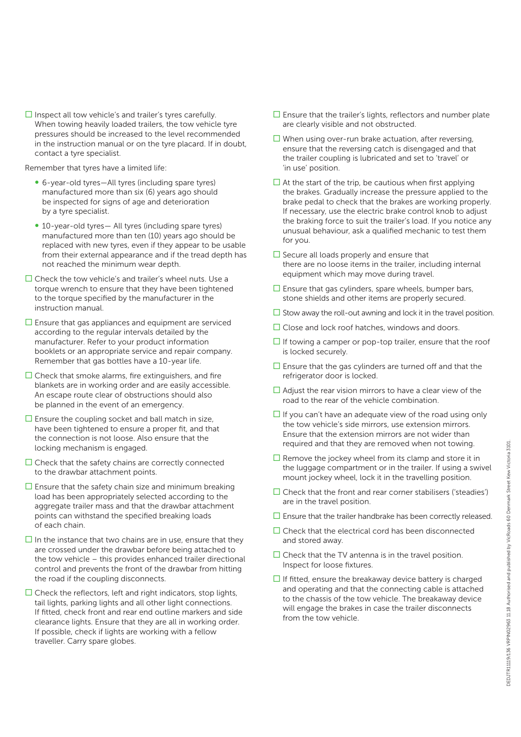$\square$  Inspect all tow vehicle's and trailer's tyres carefully. When towing heavily loaded trailers, the tow vehicle tyre pressures should be increased to the level recommended in the instruction manual or on the tyre placard. If in doubt, contact a tyre specialist.

Remember that tyres have a limited life:

- ∞ 6-year-old tyres—All tyres (including spare tyres) manufactured more than six (6) years ago should be inspected for signs of age and deterioration by a tyre specialist.
- 10-year-old tyres— All tyres (including spare tyres) manufactured more than ten (10) years ago should be replaced with new tyres, even if they appear to be usable from their external appearance and if the tread depth has not reached the minimum wear depth.
- $\square$  Check the tow vehicle's and trailer's wheel nuts. Use a torque wrench to ensure that they have been tightened to the torque specified by the manufacturer in the instruction manual.
- $\square$  Ensure that gas appliances and equipment are serviced according to the regular intervals detailed by the manufacturer. Refer to your product information booklets or an appropriate service and repair company. Remember that gas bottles have a 10-year life.
- $\Box$  Check that smoke alarms, fire extinguishers, and fire blankets are in working order and are easily accessible. An escape route clear of obstructions should also be planned in the event of an emergency.
- $\square$  Ensure the coupling socket and ball match in size, have been tightened to ensure a proper fit, and that the connection is not loose. Also ensure that the locking mechanism is engaged.
- $\Box$  Check that the safety chains are correctly connected to the drawbar attachment points.
- $\square$  Ensure that the safety chain size and minimum breaking load has been appropriately selected according to the aggregate trailer mass and that the drawbar attachment points can withstand the specified breaking loads of each chain.
- $\Box$  In the instance that two chains are in use, ensure that they are crossed under the drawbar before being attached to the tow vehicle – this provides enhanced trailer directional control and prevents the front of the drawbar from hitting the road if the coupling disconnects.
- $\square$  Check the reflectors, left and right indicators, stop lights, tail lights, parking lights and all other light connections. If fitted, check front and rear end outline markers and side clearance lights. Ensure that they are all in working order. If possible, check if lights are working with a fellow traveller. Carry spare globes.
- $\square$  Ensure that the trailer's lights, reflectors and number plate are clearly visible and not obstructed.
- $\square$  When using over-run brake actuation, after reversing, ensure that the reversing catch is disengaged and that the trailer coupling is lubricated and set to 'travel' or 'in use' position.
- $\Box$  At the start of the trip, be cautious when first applying the brakes. Gradually increase the pressure applied to the brake pedal to check that the brakes are working properly. If necessary, use the electric brake control knob to adjust the braking force to suit the trailer's load. If you notice any unusual behaviour, ask a qualified mechanic to test them for you.
- $\square$  Secure all loads properly and ensure that there are no loose items in the trailer, including internal equipment which may move during travel.
- $\square$  Ensure that gas cylinders, spare wheels, bumper bars, stone shields and other items are properly secured.
- $\square$  Stow away the roll-out awning and lock it in the travel position.
- $\square$  Close and lock roof hatches, windows and doors.
- $\Box$  If towing a camper or pop-top trailer, ensure that the roof is locked securely.
- $\square$  Ensure that the gas cylinders are turned off and that the refrigerator door is locked.
- $\Box$  Adjust the rear vision mirrors to have a clear view of the road to the rear of the vehicle combination.
- $\Box$  If you can't have an adequate view of the road using only the tow vehicle's side mirrors, use extension mirrors. Ensure that the extension mirrors are not wider than required and that they are removed when not towing.
- $\Box$  Remove the jockey wheel from its clamp and store it in the luggage compartment or in the trailer. If using a swivel mount jockey wheel, lock it in the travelling position.
- $\Box$  Check that the front and rear corner stabilisers ('steadies') are in the travel position.
- $\square$  Ensure that the trailer handbrake has been correctly released.
- $\square$  Check that the electrical cord has been disconnected and stored away.
- $\square$  Check that the TV antenna is in the travel position. Inspect for loose fixtures.
- $\Box$  If fitted, ensure the breakaway device battery is charged and operating and that the connecting cable is attached to the chassis of the tow vehicle. The breakaway device will engage the brakes in case the trailer disconnects from the tow vehicle.